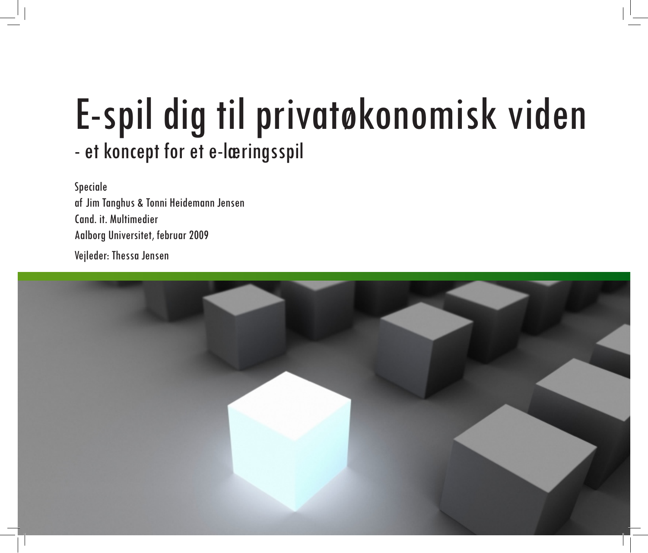## E-spil dig til privatøkonomisk viden - et koncept for et e-læringsspil

Speciale af Jim Tanghus & Tonni Heidemann Jensen Cand. it. Multimedier Aalborg Universitet, februar 2009

Vejleder: Thessa Jensen